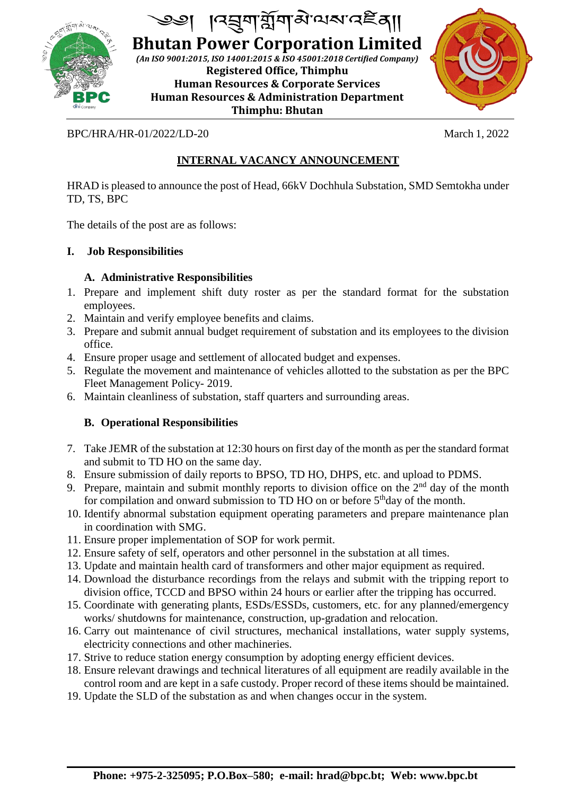

J

**Bhutan Power Corporation Limited** *(An ISO 9001:2015, ISO 14001:2015 & ISO 45001:2018 Certified Company)* **Registered Office, Thimphu Human Resources & Corporate Services Human Resources & Administration Department Thimphu: Bhutan**



# BPC/HRA/HR-01/2022/LD-20 March 1, 2022

# **INTERNAL VACANCY ANNOUNCEMENT**

HRAD is pleased to announce the post of Head, 66kV Dochhula Substation, SMD Semtokha under TD, TS, BPC

The details of the post are as follows:

# **I. Job Responsibilities**

### **A. Administrative Responsibilities**

- 1. Prepare and implement shift duty roster as per the standard format for the substation employees.
- 2. Maintain and verify employee benefits and claims.
- 3. Prepare and submit annual budget requirement of substation and its employees to the division office.
- 4. Ensure proper usage and settlement of allocated budget and expenses.
- 5. Regulate the movement and maintenance of vehicles allotted to the substation as per the BPC Fleet Management Policy- 2019.
- 6. Maintain cleanliness of substation, staff quarters and surrounding areas.

# **B. Operational Responsibilities**

- 7. Take JEMR of the substation at 12:30 hours on first day of the month as per the standard format and submit to TD HO on the same day.
- 8. Ensure submission of daily reports to BPSO, TD HO, DHPS, etc. and upload to PDMS.
- 9. Prepare, maintain and submit monthly reports to division office on the  $2<sup>nd</sup>$  day of the month for compilation and onward submission to TD HO on or before 5<sup>th</sup>day of the month.
- 10. Identify abnormal substation equipment operating parameters and prepare maintenance plan in coordination with SMG.
- 11. Ensure proper implementation of SOP for work permit.
- 12. Ensure safety of self, operators and other personnel in the substation at all times.
- 13. Update and maintain health card of transformers and other major equipment as required.
- 14. Download the disturbance recordings from the relays and submit with the tripping report to division office, TCCD and BPSO within 24 hours or earlier after the tripping has occurred.
- 15. Coordinate with generating plants, ESDs/ESSDs, customers, etc. for any planned/emergency works/ shutdowns for maintenance, construction, up-gradation and relocation.
- 16. Carry out maintenance of civil structures, mechanical installations, water supply systems, electricity connections and other machineries.
- 17. Strive to reduce station energy consumption by adopting energy efficient devices.
- 18. Ensure relevant drawings and technical literatures of all equipment are readily available in the control room and are kept in a safe custody. Proper record of these items should be maintained.
- 19. Update the SLD of the substation as and when changes occur in the system.